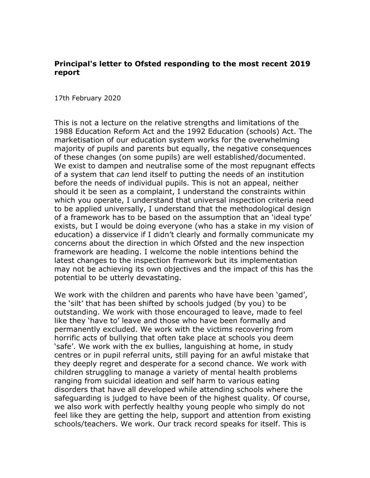## **Principal's letter to Ofsted responding to the most recent 2019 report**

17th February 2020

This is not a lecture on the relative strengths and limitations of the 1988 Education Reform Act and the 1992 Education (schools) Act. The marketisation of our education system works for the overwhelming majority of pupils and parents but equally, the negative consequences of these changes (on some pupils) are well established/documented. We exist to dampen and neutralise some of the most repugnant effects of a system that *can* lend itself to putting the needs of an institution before the needs of individual pupils. This is not an appeal, neither should it be seen as a complaint, I understand the constraints within which you operate, I understand that universal inspection criteria need to be applied universally, I understand that the methodological design of a framework has to be based on the assumption that an 'ideal type' exists, but I would be doing everyone (who has a stake in my vision of education) a disservice if I didn't clearly and formally communicate my concerns about the direction in which Ofsted and the new inspection framework are heading. I welcome the noble intentions behind the latest changes to the inspection framework but its implementation may not be achieving its own objectives and the impact of this has the potential to be utterly devastating.

We work with the children and parents who have have been 'gamed', the 'silt' that has been shifted by schools judged (by you) to be outstanding. We work with those encouraged to leave, made to feel like they 'have to' leave and those who have been formally and permanently excluded. We work with the victims recovering from horrific acts of bullying that often take place at schools you deem 'safe'. We work with the ex bullies, languishing at home, in study centres or in pupil referral units, still paying for an awful mistake that they deeply regret and desperate for a second chance. We work with children struggling to manage a variety of mental health problems ranging from suicidal ideation and self harm to various eating disorders that have all developed while attending schools where the safeguarding is judged to have been of the highest quality. Of course, we also work with perfectly healthy young people who simply do not feel like they are getting the help, support and attention from existing schools/teachers. We work. Our track record speaks for itself. This is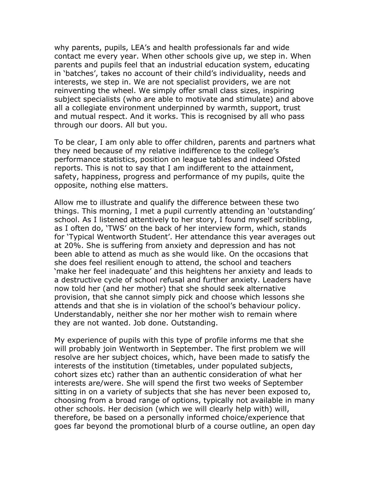why parents, pupils, LEA's and health professionals far and wide contact me every year. When other schools give up, we step in. When parents and pupils feel that an industrial education system, educating in 'batches', takes no account of their child's individuality, needs and interests, we step in. We are not specialist providers, we are not reinventing the wheel. We simply offer small class sizes, inspiring subject specialists (who are able to motivate and stimulate) and above all a collegiate environment underpinned by warmth, support, trust and mutual respect. And it works. This is recognised by all who pass through our doors. All but you.

To be clear, I am only able to offer children, parents and partners what they need because of my relative indifference to the college's performance statistics, position on league tables and indeed Ofsted reports. This is not to say that I am indifferent to the attainment, safety, happiness, progress and performance of my pupils, quite the opposite, nothing else matters.

Allow me to illustrate and qualify the difference between these two things. This morning, I met a pupil currently attending an 'outstanding' school. As I listened attentively to her story, I found myself scribbling, as I often do, 'TWS' on the back of her interview form, which, stands for 'Typical Wentworth Student'. Her attendance this year averages out at 20%. She is suffering from anxiety and depression and has not been able to attend as much as she would like. On the occasions that she does feel resilient enough to attend, the school and teachers 'make her feel inadequate' and this heightens her anxiety and leads to a destructive cycle of school refusal and further anxiety. Leaders have now told her (and her mother) that she should seek alternative provision, that she cannot simply pick and choose which lessons she attends and that she is in violation of the school's behaviour policy. Understandably, neither she nor her mother wish to remain where they are not wanted. Job done. Outstanding.

My experience of pupils with this type of profile informs me that she will probably join Wentworth in September. The first problem we will resolve are her subject choices, which, have been made to satisfy the interests of the institution (timetables, under populated subjects, cohort sizes etc) rather than an authentic consideration of what her interests are/were. She will spend the first two weeks of September sitting in on a variety of subjects that she has never been exposed to, choosing from a broad range of options, typically not available in many other schools. Her decision (which we will clearly help with) will, therefore, be based on a personally informed choice/experience that goes far beyond the promotional blurb of a course outline, an open day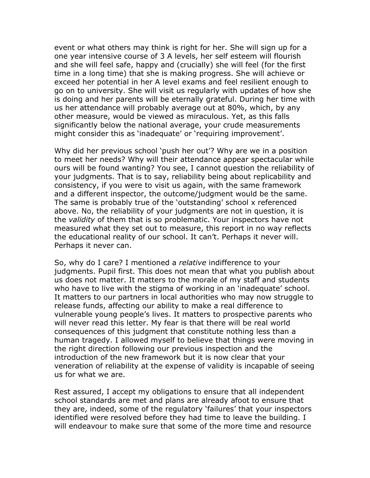event or what others may think is right for her. She will sign up for a one year intensive course of 3 A levels, her self esteem will flourish and she will feel safe, happy and (crucially) she will feel (for the first time in a long time) that she is making progress. She will achieve or exceed her potential in her A level exams and feel resilient enough to go on to university. She will visit us regularly with updates of how she is doing and her parents will be eternally grateful. During her time with us her attendance will probably average out at 80%, which, by any other measure, would be viewed as miraculous. Yet, as this falls significantly below the national average, your crude measurements might consider this as 'inadequate' or 'requiring improvement'.

Why did her previous school 'push her out'? Why are we in a position to meet her needs? Why will their attendance appear spectacular while ours will be found wanting? You see, I cannot question the reliability of your judgments. That is to say, reliability being about replicability and consistency, if you were to visit us again, with the same framework and a different inspector, the outcome/judgment would be the same. The same is probably true of the 'outstanding' school x referenced above. No, the reliability of your judgments are not in question, it is the *validity* of them that is so problematic. Your inspectors have not measured what they set out to measure, this report in no way reflects the educational reality of our school. It can't. Perhaps it never will. Perhaps it never can.

So, why do I care? I mentioned a *relative* indifference to your judgments. Pupil first. This does not mean that what you publish about us does not matter. It matters to the morale of my staff and students who have to live with the stigma of working in an 'inadequate' school. It matters to our partners in local authorities who may now struggle to release funds, affecting our ability to make a real difference to vulnerable young people's lives. It matters to prospective parents who will never read this letter. My fear is that there will be real world consequences of this judgment that constitute nothing less than a human tragedy. I allowed myself to believe that things were moving in the right direction following our previous inspection and the introduction of the new framework but it is now clear that your veneration of reliability at the expense of validity is incapable of seeing us for what we are.

Rest assured, I accept my obligations to ensure that all independent school standards are met and plans are already afoot to ensure that they are, indeed, some of the regulatory 'failures' that your inspectors identified were resolved before they had time to leave the building. I will endeavour to make sure that some of the more time and resource